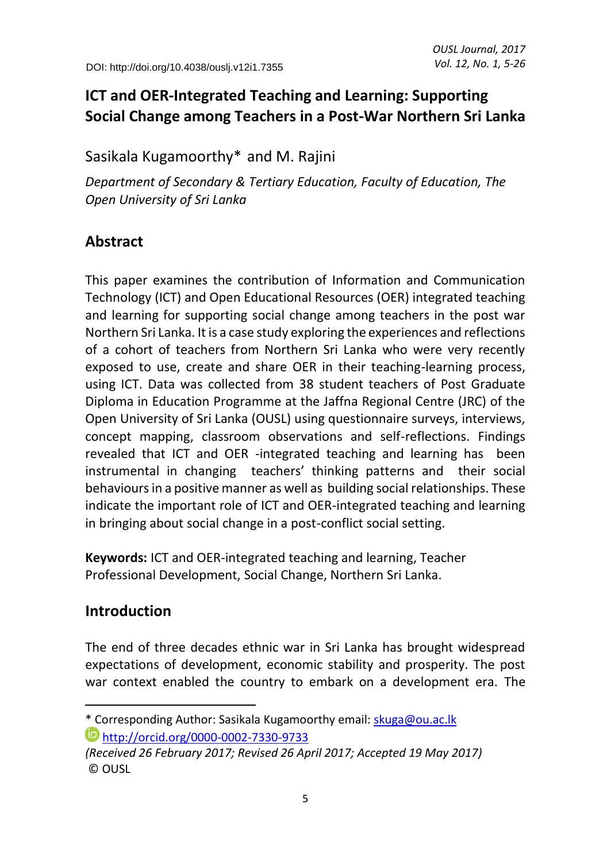# **ICT and OER-Integrated Teaching and Learning: Supporting Social Change among Teachers in a Post-War Northern Sri Lanka**

Sasikala Kugamoorthy<sup>\*</sup> and M. Rajini

*Department of Secondary & Tertiary Education, Faculty of Education, The Open University of Sri Lanka*

# **Abstract**

This paper examines the contribution of Information and Communication Technology (ICT) and Open Educational Resources (OER) integrated teaching and learning for supporting social change among teachers in the post war Northern Sri Lanka. It is a case study exploring the experiences and reflections of a cohort of teachers from Northern Sri Lanka who were very recently exposed to use, create and share OER in their teaching-learning process, using ICT. Data was collected from 38 student teachers of Post Graduate Diploma in Education Programme at the Jaffna Regional Centre (JRC) of the Open University of Sri Lanka (OUSL) using questionnaire surveys, interviews, concept mapping, classroom observations and self-reflections. Findings revealed that ICT and OER -integrated teaching and learning has been instrumental in changing teachers' thinking patterns and their social behaviours in a positive manner as well as building social relationships. These indicate the important role of ICT and OER-integrated teaching and learning in bringing about social change in a post-conflict social setting.

**Keywords:** ICT and OER-integrated teaching and learning, Teacher Professional Development, Social Change, Northern Sri Lanka.

# **Introduction**

 $\overline{a}$ 

The end of three decades ethnic war in Sri Lanka has brought widespread expectations of development, economic stability and prosperity. The post war context enabled the country to embark on a development era. The

<sup>\*</sup> Corresponding Author: Sasikala Kugamoorthy email[: skuga@ou.ac.lk](mailto:skuga@ou.ac.lk) <http://orcid.org/0000-0002-7330-9733>

*<sup>(</sup>Received 26 February 2017; Revised 26 April 2017; Accepted 19 May 2017)* © OUSL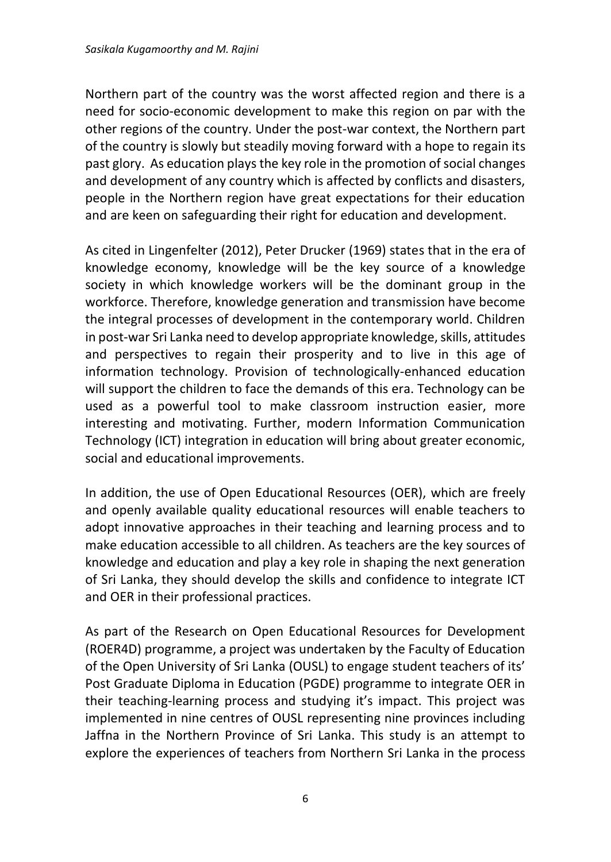Northern part of the country was the worst affected region and there is a need for socio-economic development to make this region on par with the other regions of the country. Under the post-war context, the Northern part of the country is slowly but steadily moving forward with a hope to regain its past glory. As education playsthe key role in the promotion of social changes and development of any country which is affected by conflicts and disasters, people in the Northern region have great expectations for their education and are keen on safeguarding their right for education and development.

As cited in Lingenfelter (2012), Peter Drucker (1969) states that in the era of knowledge economy, knowledge will be the key source of a knowledge society in which knowledge workers will be the dominant group in the workforce. Therefore, knowledge generation and transmission have become the integral processes of development in the contemporary world. Children in post-war Sri Lanka need to develop appropriate knowledge, skills, attitudes and perspectives to regain their prosperity and to live in this age of information technology. Provision of technologically-enhanced education will support the children to face the demands of this era. Technology can be used as a powerful tool to make classroom instruction easier, more interesting and motivating. Further, modern Information Communication Technology (ICT) integration in education will bring about greater economic, social and educational improvements.

In addition, the use of Open Educational Resources (OER), which are freely and openly available quality educational resources will enable teachers to adopt innovative approaches in their teaching and learning process and to make education accessible to all children. As teachers are the key sources of knowledge and education and play a key role in shaping the next generation of Sri Lanka, they should develop the skills and confidence to integrate ICT and OER in their professional practices.

As part of the Research on Open Educational Resources for Development (ROER4D) programme, a project was undertaken by the Faculty of Education of the Open University of Sri Lanka (OUSL) to engage student teachers of its' Post Graduate Diploma in Education (PGDE) programme to integrate OER in their teaching-learning process and studying it's impact. This project was implemented in nine centres of OUSL representing nine provinces including Jaffna in the Northern Province of Sri Lanka. This study is an attempt to explore the experiences of teachers from Northern Sri Lanka in the process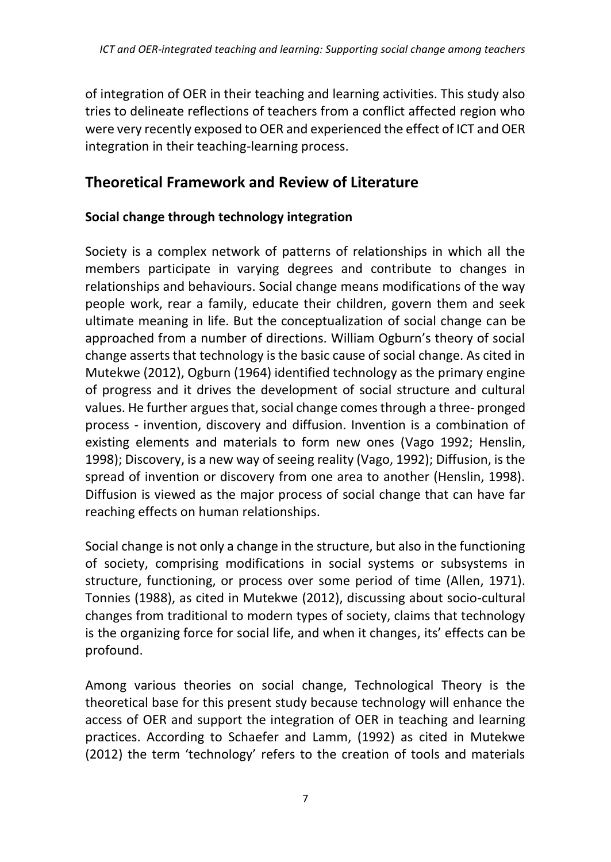of integration of OER in their teaching and learning activities. This study also tries to delineate reflections of teachers from a conflict affected region who were very recently exposed to OER and experienced the effect of ICT and OER integration in their teaching-learning process.

## **Theoretical Framework and Review of Literature**

### **Social change through technology integration**

Society is a complex network of patterns of relationships in which all the members participate in varying degrees and contribute to changes in relationships and behaviours. Social change means modifications of the way people work, rear a family, educate their children, govern them and seek ultimate meaning in life. But the conceptualization of social change can be approached from a number of directions. William Ogburn's theory of social change asserts that technology is the basic cause of social change. As cited in Mutekwe (2012), Ogburn (1964) identified technology as the primary engine of progress and it drives the development of social structure and cultural values. He further argues that, social change comes through a three- pronged process - invention, discovery and diffusion. Invention is a combination of existing elements and materials to form new ones (Vago 1992; Henslin, 1998); Discovery, is a new way of seeing reality (Vago, 1992); Diffusion, is the spread of invention or discovery from one area to another (Henslin, 1998). Diffusion is viewed as the major process of social change that can have far reaching effects on human relationships.

Social change is not only a change in the structure, but also in the functioning of society, comprising modifications in social systems or subsystems in structure, functioning, or process over some period of time (Allen, 1971). Tonnies (1988), as cited in Mutekwe (2012), discussing about socio-cultural changes from traditional to modern types of society, claims that technology is the organizing force for social life, and when it changes, its' effects can be profound.

Among various theories on social change, Technological Theory is the theoretical base for this present study because technology will enhance the access of OER and support the integration of OER in teaching and learning practices. According to Schaefer and Lamm, (1992) as cited in Mutekwe (2012) the term 'technology' refers to the creation of tools and materials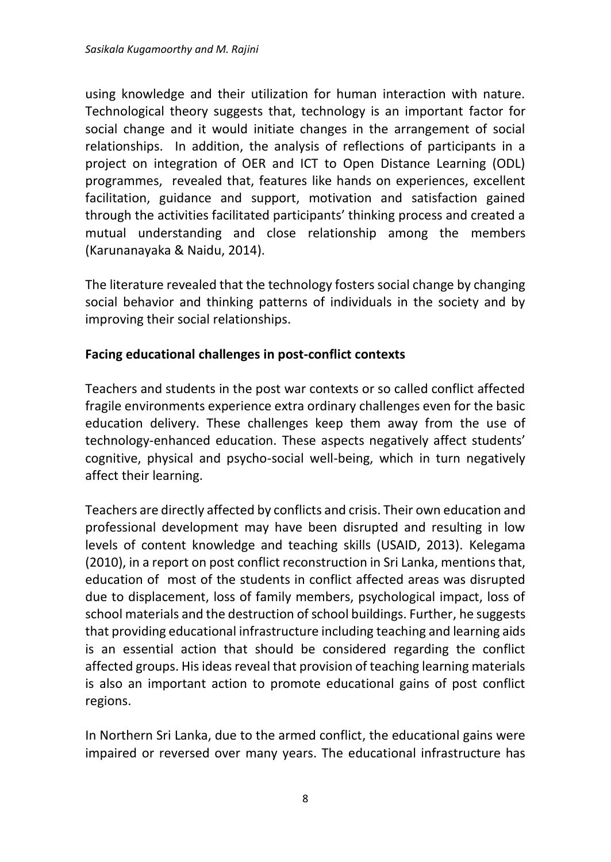using knowledge and their utilization for human interaction with nature. Technological theory suggests that, technology is an important factor for social change and it would initiate changes in the arrangement of social relationships. In addition, the analysis of reflections of participants in a project on integration of OER and ICT to Open Distance Learning (ODL) programmes, revealed that, features like hands on experiences, excellent facilitation, guidance and support, motivation and satisfaction gained through the activities facilitated participants' thinking process and created a mutual understanding and close relationship among the members (Karunanayaka & Naidu, 2014).

The literature revealed that the technology fosters social change by changing social behavior and thinking patterns of individuals in the society and by improving their social relationships.

#### **Facing educational challenges in post-conflict contexts**

Teachers and students in the post war contexts or so called conflict affected fragile environments experience extra ordinary challenges even for the basic education delivery. These challenges keep them away from the use of technology-enhanced education. These aspects negatively affect students' cognitive, physical and psycho-social well-being, which in turn negatively affect their learning.

Teachers are directly affected by conflicts and crisis. Their own education and professional development may have been disrupted and resulting in low levels of content knowledge and teaching skills (USAID, 2013). Kelegama (2010), in a report on post conflict reconstruction in Sri Lanka, mentionsthat, education of most of the students in conflict affected areas was disrupted due to displacement, loss of family members, psychological impact, loss of school materials and the destruction of school buildings. Further, he suggests that providing educational infrastructure including teaching and learning aids is an essential action that should be considered regarding the conflict affected groups. His ideas reveal that provision of teaching learning materials is also an important action to promote educational gains of post conflict regions.

In Northern Sri Lanka, due to the armed conflict, the educational gains were impaired or reversed over many years. The educational infrastructure has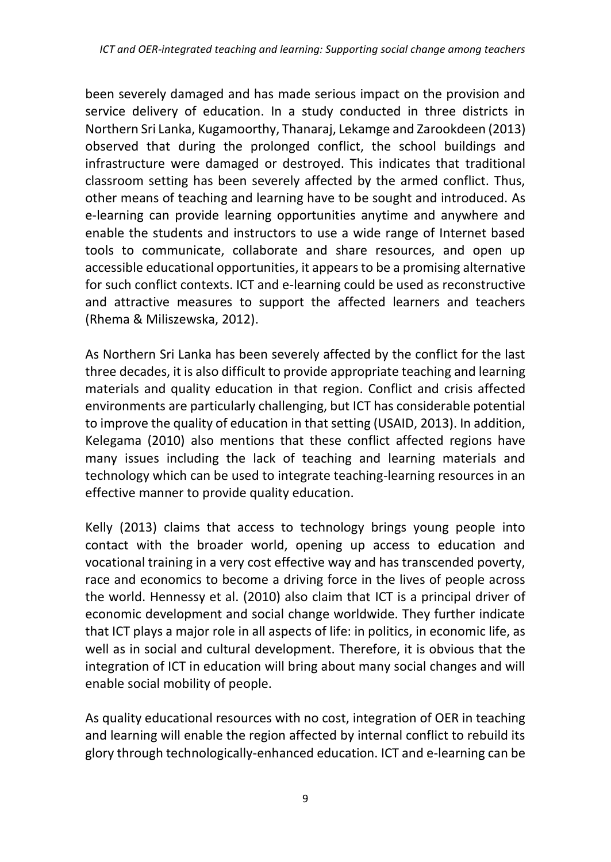been severely damaged and has made serious impact on the provision and service delivery of education. In a study conducted in three districts in Northern Sri Lanka, Kugamoorthy, Thanaraj, Lekamge and Zarookdeen (2013) observed that during the prolonged conflict, the school buildings and infrastructure were damaged or destroyed. This indicates that traditional classroom setting has been severely affected by the armed conflict. Thus, other means of teaching and learning have to be sought and introduced. As e-learning can provide learning opportunities anytime and anywhere and enable the students and instructors to use a wide range of Internet based tools to communicate, collaborate and share resources, and open up accessible educational opportunities, it appears to be a promising alternative for such conflict contexts. ICT and e-learning could be used as reconstructive and attractive measures to support the affected learners and teachers (Rhema & Miliszewska, 2012).

As Northern Sri Lanka has been severely affected by the conflict for the last three decades, it is also difficult to provide appropriate teaching and learning materials and quality education in that region. Conflict and crisis affected environments are particularly challenging, but ICT has considerable potential to improve the quality of education in that setting (USAID, 2013). In addition, Kelegama (2010) also mentions that these conflict affected regions have many issues including the lack of teaching and learning materials and technology which can be used to integrate teaching-learning resources in an effective manner to provide quality education.

Kelly (2013) claims that access to technology brings young people into contact with the broader world, opening up access to education and vocational training in a very cost effective way and has transcended poverty, race and economics to become a driving force in the lives of people across the world. Hennessy et al. (2010) also claim that ICT is a principal driver of economic development and social change worldwide. They further indicate that ICT plays a major role in all aspects of life: in politics, in economic life, as well as in social and cultural development. Therefore, it is obvious that the integration of ICT in education will bring about many social changes and will enable social mobility of people.

As quality educational resources with no cost, integration of OER in teaching and learning will enable the region affected by internal conflict to rebuild its glory through technologically-enhanced education. ICT and e-learning can be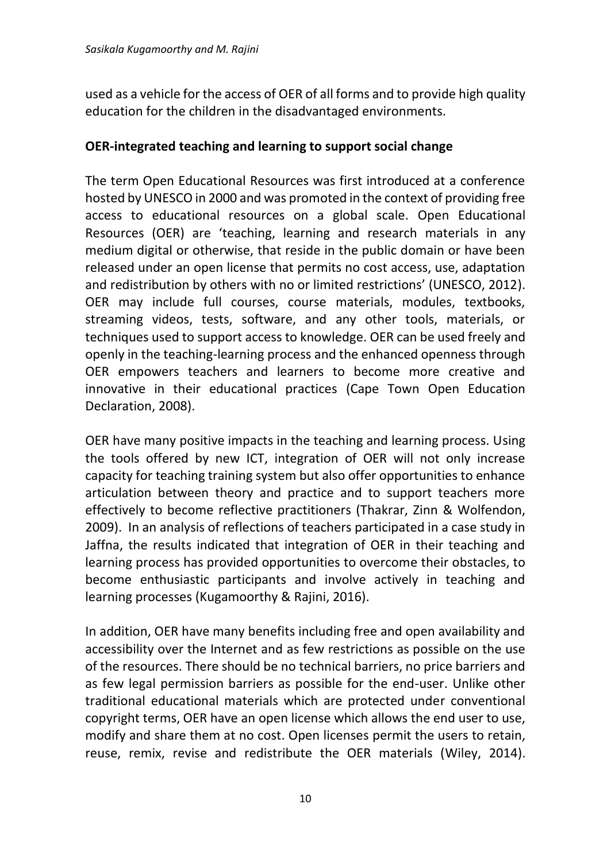used as a vehicle for the access of OER of all forms and to provide high quality education for the children in the disadvantaged environments.

#### **OER-integrated teaching and learning to support social change**

The term Open Educational Resources was first introduced at a conference hosted by UNESCO in 2000 and was promoted in the context of providing free access to educational resources on a global scale. Open Educational Resources (OER) are 'teaching, learning and research materials in any medium digital or otherwise, that reside in the public domain or have been released under an open license that permits no cost access, use, adaptation and redistribution by others with no or limited restrictions' (UNESCO, 2012). OER may include full courses, course materials, modules, textbooks, streaming videos, tests, software, and any other tools, materials, or techniques used to support access to knowledge. OER can be used freely and openly in the teaching-learning process and the enhanced openness through OER empowers teachers and learners to become more creative and innovative in their educational practices (Cape Town Open Education Declaration, 2008).

OER have many positive impacts in the teaching and learning process. Using the tools offered by new ICT, integration of OER will not only increase capacity for teaching training system but also offer opportunities to enhance articulation between theory and practice and to support teachers more effectively to become reflective practitioners (Thakrar, Zinn & Wolfendon, 2009). In an analysis of reflections of teachers participated in a case study in Jaffna, the results indicated that integration of OER in their teaching and learning process has provided opportunities to overcome their obstacles, to become enthusiastic participants and involve actively in teaching and learning processes (Kugamoorthy & Rajini, 2016).

In addition, OER have many benefits including free and open availability and accessibility over the Internet and as few restrictions as possible on the use of the resources. There should be no technical barriers, no price barriers and as few legal permission barriers as possible for the end-user. Unlike other traditional educational materials which are protected under conventional copyright terms, OER have an open license which allows the end user to use, modify and share them at no cost. Open licenses permit the users to retain, reuse, remix, revise and redistribute the OER materials (Wiley, 2014).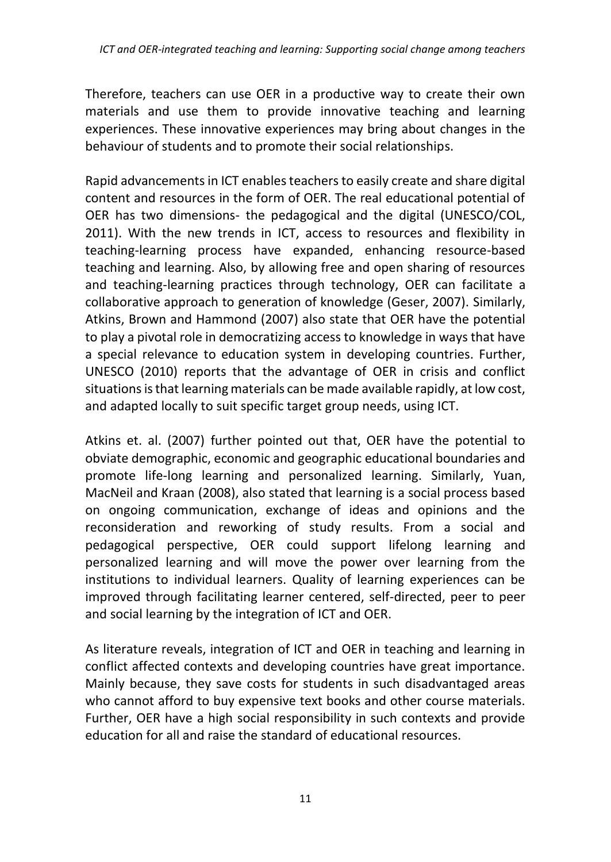Therefore, teachers can use OER in a productive way to create their own materials and use them to provide innovative teaching and learning experiences. These innovative experiences may bring about changes in the behaviour of students and to promote their social relationships.

Rapid advancements in ICT enables teachers to easily create and share digital content and resources in the form of OER. The real educational potential of OER has two dimensions- the pedagogical and the digital (UNESCO/COL, 2011). With the new trends in ICT, access to resources and flexibility in teaching-learning process have expanded, enhancing resource-based teaching and learning. Also, by allowing free and open sharing of resources and teaching-learning practices through technology, OER can facilitate a collaborative approach to generation of knowledge (Geser, 2007). Similarly, Atkins, Brown and Hammond (2007) also state that OER have the potential to play a pivotal role in democratizing access to knowledge in ways that have a special relevance to education system in developing countries. Further, UNESCO (2010) reports that the advantage of OER in crisis and conflict situations is that learning materials can be made available rapidly, at low cost, and adapted locally to suit specific target group needs, using ICT.

Atkins et. al. (2007) further pointed out that, OER have the potential to obviate demographic, economic and geographic educational boundaries and promote life-long learning and personalized learning. Similarly, Yuan, MacNeil and Kraan (2008), also stated that learning is a social process based on ongoing communication, exchange of ideas and opinions and the reconsideration and reworking of study results. From a social and pedagogical perspective, OER could support lifelong learning and personalized learning and will move the power over learning from the institutions to individual learners. Quality of learning experiences can be improved through facilitating learner centered, self-directed, peer to peer and social learning by the integration of ICT and OER.

As literature reveals, integration of ICT and OER in teaching and learning in conflict affected contexts and developing countries have great importance. Mainly because, they save costs for students in such disadvantaged areas who cannot afford to buy expensive text books and other course materials. Further, OER have a high social responsibility in such contexts and provide education for all and raise the standard of educational resources.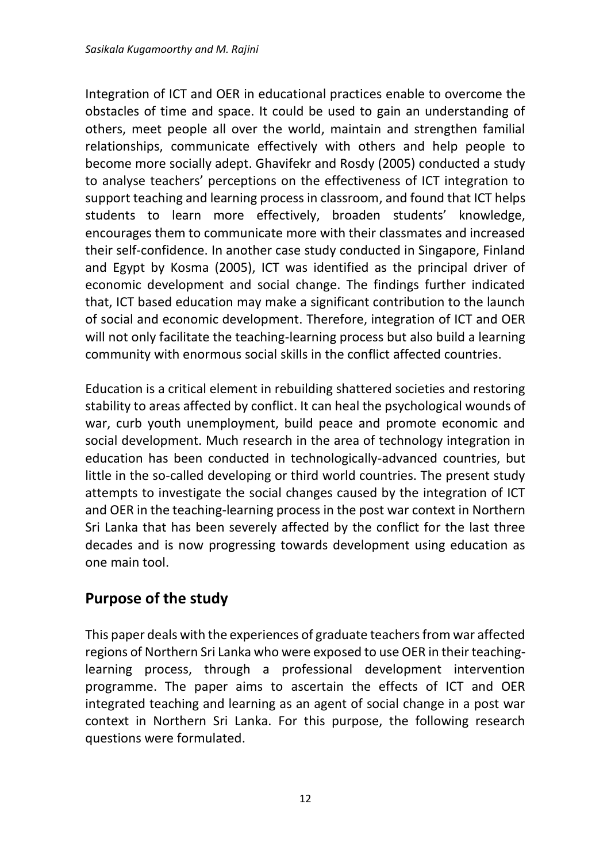Integration of ICT and OER in educational practices enable to overcome the obstacles of time and space. It could be used to gain an understanding of others, meet people all over the world, maintain and strengthen familial relationships, communicate effectively with others and help people to become more socially adept. Ghavifekr and Rosdy (2005) conducted a study to analyse teachers' perceptions on the effectiveness of ICT integration to support teaching and learning process in classroom, and found that ICT helps students to learn more effectively, broaden students' knowledge, encourages them to communicate more with their classmates and increased their self-confidence. In another case study conducted in Singapore, Finland and Egypt by Kosma (2005), ICT was identified as the principal driver of economic development and social change. The findings further indicated that, ICT based education may make a significant contribution to the launch of social and economic development. Therefore, integration of ICT and OER will not only facilitate the teaching-learning process but also build a learning community with enormous social skills in the conflict affected countries.

Education is a critical element in rebuilding shattered societies and restoring stability to areas affected by conflict. It can heal the psychological wounds of war, curb youth unemployment, build peace and promote economic and social development. Much research in the area of technology integration in education has been conducted in technologically-advanced countries, but little in the so-called developing or third world countries. The present study attempts to investigate the social changes caused by the integration of ICT and OER in the teaching-learning process in the post war context in Northern Sri Lanka that has been severely affected by the conflict for the last three decades and is now progressing towards development using education as one main tool.

# **Purpose of the study**

This paper deals with the experiences of graduate teachers from war affected regions of Northern Sri Lanka who were exposed to use OER in their teachinglearning process, through a professional development intervention programme. The paper aims to ascertain the effects of ICT and OER integrated teaching and learning as an agent of social change in a post war context in Northern Sri Lanka. For this purpose, the following research questions were formulated.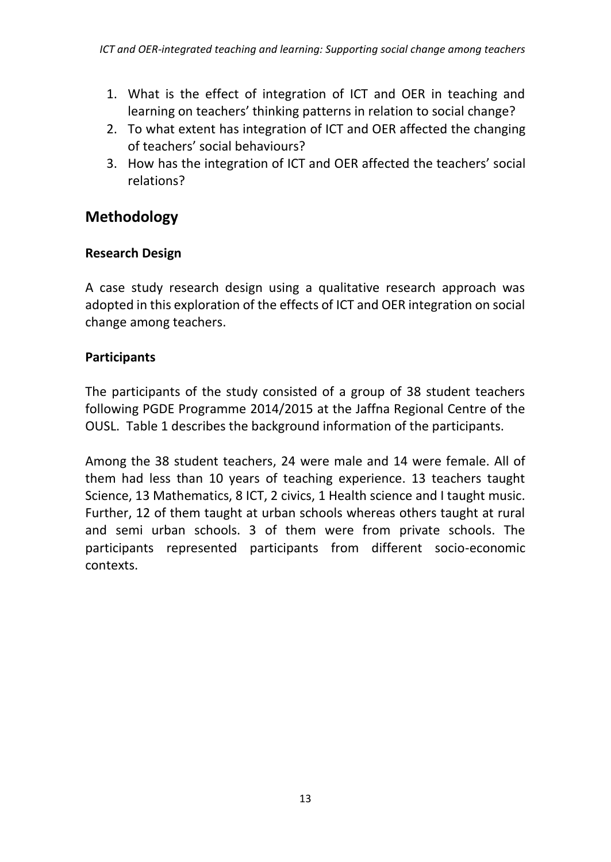- 1. What is the effect of integration of ICT and OER in teaching and learning on teachers' thinking patterns in relation to social change?
- 2. To what extent has integration of ICT and OER affected the changing of teachers' social behaviours?
- 3. How has the integration of ICT and OER affected the teachers' social relations?

# **Methodology**

### **Research Design**

A case study research design using a qualitative research approach was adopted in this exploration of the effects of ICT and OER integration on social change among teachers.

## **Participants**

The participants of the study consisted of a group of 38 student teachers following PGDE Programme 2014/2015 at the Jaffna Regional Centre of the OUSL. Table 1 describes the background information of the participants.

Among the 38 student teachers, 24 were male and 14 were female. All of them had less than 10 years of teaching experience. 13 teachers taught Science, 13 Mathematics, 8 ICT, 2 civics, 1 Health science and I taught music. Further, 12 of them taught at urban schools whereas others taught at rural and semi urban schools. 3 of them were from private schools. The participants represented participants from different socio-economic contexts.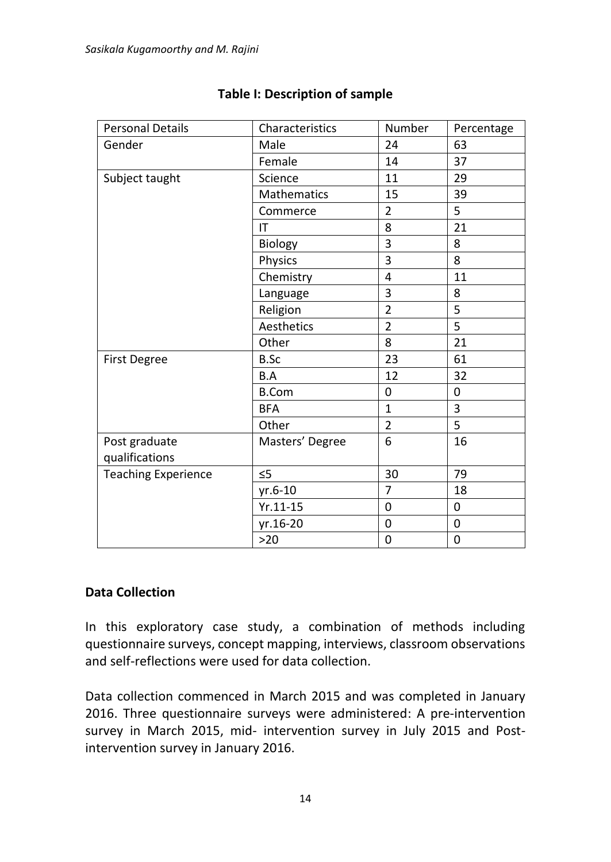| <b>Personal Details</b>    | Characteristics | Number         | Percentage |
|----------------------------|-----------------|----------------|------------|
| Gender                     | Male            | 24             | 63         |
|                            | Female          | 14             | 37         |
| Subject taught             | Science         | 11             | 29         |
|                            | Mathematics     | 15             | 39         |
|                            | Commerce        | $\overline{2}$ | 5          |
|                            | IT              | 8              | 21         |
|                            | Biology         | 3              | 8          |
|                            | Physics         | 3              | 8          |
|                            | Chemistry       | 4              | 11         |
|                            | Language        | 3              | 8          |
|                            | Religion        | $\overline{2}$ | 5          |
|                            | Aesthetics      | $\overline{2}$ | 5          |
|                            | Other           | 8              | 21         |
| <b>First Degree</b>        | B.Sc            | 23             | 61         |
|                            | B.A             | 12             | 32         |
|                            | <b>B.Com</b>    | 0              | 0          |
|                            | <b>BFA</b>      | $\mathbf{1}$   | 3          |
|                            | Other           | $\overline{2}$ | 5          |
| Post graduate              | Masters' Degree | 6              | 16         |
| qualifications             |                 |                |            |
| <b>Teaching Experience</b> | $\leq$ 5        | 30             | 79         |
|                            | yr.6-10         | $\overline{7}$ | 18         |
|                            | $Yr.11-15$      | 0              | 0          |
|                            | yr.16-20        | 0              | 0          |
|                            | >20             | 0              | 0          |

### **Table I: Description of sample**

#### **Data Collection**

In this exploratory case study, a combination of methods including questionnaire surveys, concept mapping, interviews, classroom observations and self-reflections were used for data collection.

Data collection commenced in March 2015 and was completed in January 2016. Three questionnaire surveys were administered: A pre-intervention survey in March 2015, mid- intervention survey in July 2015 and Postintervention survey in January 2016.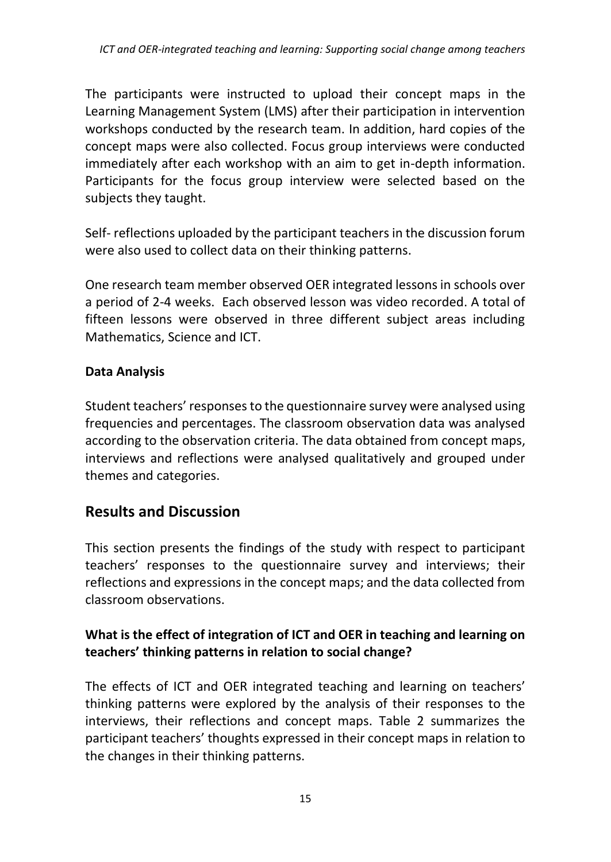The participants were instructed to upload their concept maps in the Learning Management System (LMS) after their participation in intervention workshops conducted by the research team. In addition, hard copies of the concept maps were also collected. Focus group interviews were conducted immediately after each workshop with an aim to get in-depth information. Participants for the focus group interview were selected based on the subjects they taught.

Self- reflections uploaded by the participant teachers in the discussion forum were also used to collect data on their thinking patterns.

One research team member observed OER integrated lessons in schools over a period of 2-4 weeks. Each observed lesson was video recorded. A total of fifteen lessons were observed in three different subject areas including Mathematics, Science and ICT.

### **Data Analysis**

Student teachers' responses to the questionnaire survey were analysed using frequencies and percentages. The classroom observation data was analysed according to the observation criteria. The data obtained from concept maps, interviews and reflections were analysed qualitatively and grouped under themes and categories.

# **Results and Discussion**

This section presents the findings of the study with respect to participant teachers' responses to the questionnaire survey and interviews; their reflections and expressions in the concept maps; and the data collected from classroom observations.

### **What is the effect of integration of ICT and OER in teaching and learning on teachers' thinking patterns in relation to social change?**

The effects of ICT and OER integrated teaching and learning on teachers' thinking patterns were explored by the analysis of their responses to the interviews, their reflections and concept maps. Table 2 summarizes the participant teachers' thoughts expressed in their concept maps in relation to the changes in their thinking patterns.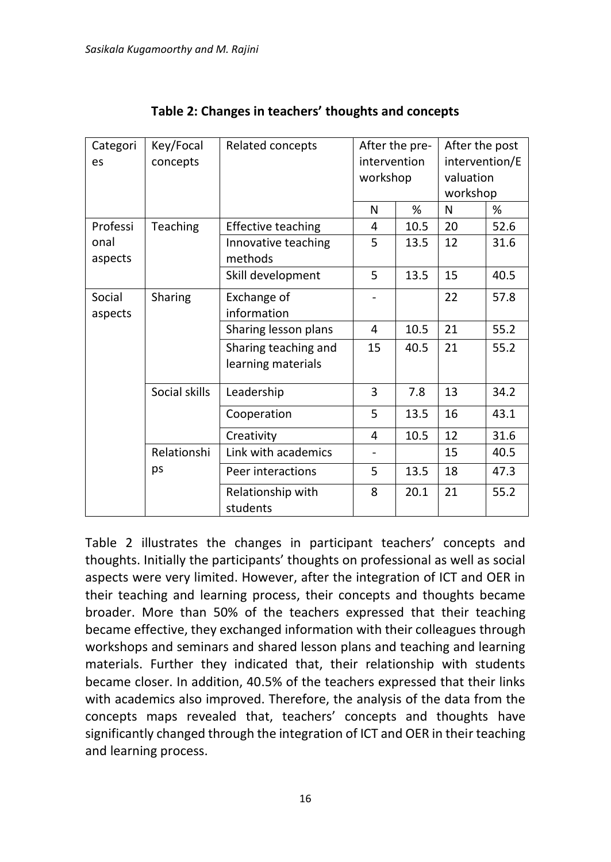| Categori | Key/Focal     | Related concepts              | After the pre-               |      | After the post |      |
|----------|---------------|-------------------------------|------------------------------|------|----------------|------|
| es       | concepts      |                               | intervention                 |      | intervention/E |      |
|          |               |                               | workshop                     |      | valuation      |      |
|          |               |                               |                              |      | workshop       |      |
|          |               |                               | N                            | %    | N              | %    |
| Professi | Teaching      | <b>Effective teaching</b>     | 4                            | 10.5 | 20             | 52.6 |
| onal     |               | Innovative teaching           | 5                            | 13.5 | 12             | 31.6 |
| aspects  |               | methods                       |                              |      |                |      |
|          |               | Skill development             | 5                            | 13.5 | 15             | 40.5 |
| Social   | Sharing       | Exchange of                   |                              |      | 22             | 57.8 |
| aspects  |               | information                   |                              |      |                |      |
|          |               | Sharing lesson plans          | 4                            | 10.5 | 21             | 55.2 |
|          |               | Sharing teaching and          | 15                           | 40.5 | 21             | 55.2 |
|          |               | learning materials            |                              |      |                |      |
|          | Social skills | Leadership                    | 3                            | 7.8  | 13             | 34.2 |
|          |               | Cooperation                   | 5                            | 13.5 | 16             | 43.1 |
|          |               | Creativity                    | 4                            | 10.5 | 12             | 31.6 |
|          | Relationshi   | Link with academics           | $\qquad \qquad \blacksquare$ |      | 15             | 40.5 |
|          | ps            | Peer interactions             | 5                            | 13.5 | 18             | 47.3 |
|          |               | Relationship with<br>students | 8                            | 20.1 | 21             | 55.2 |

**Table 2: Changes in teachers' thoughts and concepts**

Table 2 illustrates the changes in participant teachers' concepts and thoughts. Initially the participants' thoughts on professional as well as social aspects were very limited. However, after the integration of ICT and OER in their teaching and learning process, their concepts and thoughts became broader. More than 50% of the teachers expressed that their teaching became effective, they exchanged information with their colleagues through workshops and seminars and shared lesson plans and teaching and learning materials. Further they indicated that, their relationship with students became closer. In addition, 40.5% of the teachers expressed that their links with academics also improved. Therefore, the analysis of the data from the concepts maps revealed that, teachers' concepts and thoughts have significantly changed through the integration of ICT and OER in their teaching and learning process.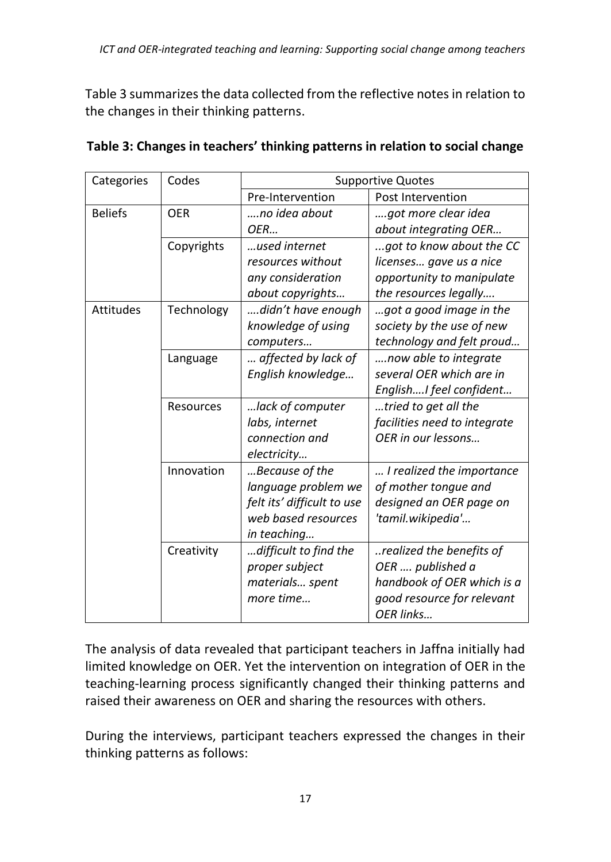Table 3 summarizes the data collected from the reflective notes in relation to the changes in their thinking patterns.

| Categories       | Codes      | <b>Supportive Quotes</b>   |                              |  |
|------------------|------------|----------------------------|------------------------------|--|
|                  |            | Pre-Intervention           | Post Intervention            |  |
| <b>Beliefs</b>   | <b>OER</b> | no idea about              | got more clear idea          |  |
|                  |            | OER                        | about integrating OER        |  |
|                  | Copyrights | used internet              | got to know about the CC     |  |
|                  |            | resources without          | licenses gave us a nice      |  |
|                  |            | any consideration          | opportunity to manipulate    |  |
|                  |            | about copyrights           | the resources legally        |  |
| <b>Attitudes</b> | Technology | didn't have enough         | got a good image in the      |  |
|                  |            | knowledge of using         | society by the use of new    |  |
|                  |            | computers                  | technology and felt proud    |  |
|                  | Language   | affected by lack of        | now able to integrate        |  |
|                  |            | English knowledge          | several OER which are in     |  |
|                  |            |                            | EnglishI feel confident      |  |
|                  | Resources  | lack of computer           | tried to get all the         |  |
|                  |            | labs, internet             | facilities need to integrate |  |
|                  |            | connection and             | OER in our lessons           |  |
|                  |            | electricity                |                              |  |
|                  | Innovation | Because of the             | I realized the importance    |  |
|                  |            | language problem we        | of mother tongue and         |  |
|                  |            | felt its' difficult to use | designed an OER page on      |  |
|                  |            | web based resources        | 'tamil.wikipedia'            |  |
|                  |            | in teaching                |                              |  |
|                  | Creativity | difficult to find the      | realized the benefits of     |  |
|                  |            | proper subject             | OER  published a             |  |
|                  |            | materials spent            | handbook of OER which is a   |  |
|                  |            | more time                  | good resource for relevant   |  |
|                  |            |                            | OER links                    |  |

| Table 3: Changes in teachers' thinking patterns in relation to social change |  |  |
|------------------------------------------------------------------------------|--|--|
|------------------------------------------------------------------------------|--|--|

The analysis of data revealed that participant teachers in Jaffna initially had limited knowledge on OER. Yet the intervention on integration of OER in the teaching-learning process significantly changed their thinking patterns and raised their awareness on OER and sharing the resources with others.

During the interviews, participant teachers expressed the changes in their thinking patterns as follows: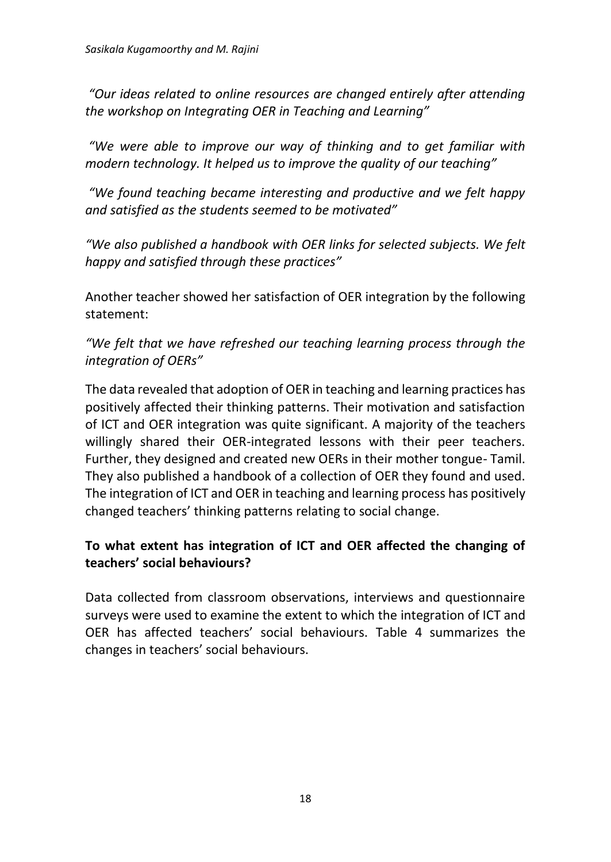*"Our ideas related to online resources are changed entirely after attending the workshop on Integrating OER in Teaching and Learning"*

*"We were able to improve our way of thinking and to get familiar with modern technology. It helped us to improve the quality of our teaching"*

*"We found teaching became interesting and productive and we felt happy and satisfied as the students seemed to be motivated"*

*"We also published a handbook with OER links for selected subjects. We felt happy and satisfied through these practices"*

Another teacher showed her satisfaction of OER integration by the following statement:

*"We felt that we have refreshed our teaching learning process through the integration of OERs"*

The data revealed that adoption of OER in teaching and learning practices has positively affected their thinking patterns. Their motivation and satisfaction of ICT and OER integration was quite significant. A majority of the teachers willingly shared their OER-integrated lessons with their peer teachers. Further, they designed and created new OERs in their mother tongue- Tamil. They also published a handbook of a collection of OER they found and used. The integration of ICT and OER in teaching and learning process has positively changed teachers' thinking patterns relating to social change.

### **To what extent has integration of ICT and OER affected the changing of teachers' social behaviours?**

Data collected from classroom observations, interviews and questionnaire surveys were used to examine the extent to which the integration of ICT and OER has affected teachers' social behaviours. Table 4 summarizes the changes in teachers' social behaviours.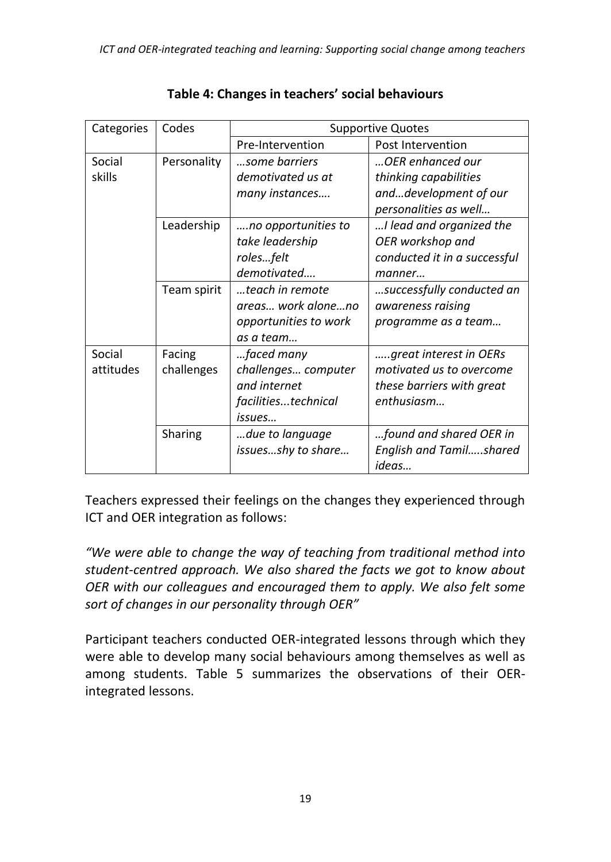| Categories | Codes       | <b>Supportive Quotes</b> |                                |  |
|------------|-------------|--------------------------|--------------------------------|--|
|            |             | Pre-Intervention         | Post Intervention              |  |
| Social     | Personality | some barriers            | OER enhanced our               |  |
| skills     |             | demotivated us at        | thinking capabilities          |  |
|            |             | many instances           | anddevelopment of our          |  |
|            |             |                          | personalities as well          |  |
|            | Leadership  | no opportunities to      | I lead and organized the       |  |
|            |             | take leadership          | OER workshop and               |  |
|            |             | rolesfelt                | conducted it in a successful   |  |
|            |             | demotivated              | manner                         |  |
|            | Team spirit | teach in remote          | successfully conducted an      |  |
|            |             | areas work aloneno       | awareness raising              |  |
|            |             | opportunities to work    | programme as a team            |  |
|            |             | as a team                |                                |  |
| Social     | Facing      | faced many               | great interest in OERs         |  |
| attitudes  | challenges  | challenges computer      | motivated us to overcome       |  |
|            |             | and internet             | these barriers with great      |  |
|            |             | facilitiestechnical      | enthusiasm                     |  |
|            |             | issues                   |                                |  |
|            | Sharing     | due to language          | found and shared OER in        |  |
|            |             | issuesshy to share       | <b>English and Tamilshared</b> |  |
|            |             |                          | ideas                          |  |

Teachers expressed their feelings on the changes they experienced through ICT and OER integration as follows:

*"We were able to change the way of teaching from traditional method into student-centred approach. We also shared the facts we got to know about OER with our colleagues and encouraged them to apply. We also felt some sort of changes in our personality through OER"*

Participant teachers conducted OER-integrated lessons through which they were able to develop many social behaviours among themselves as well as among students. Table 5 summarizes the observations of their OERintegrated lessons.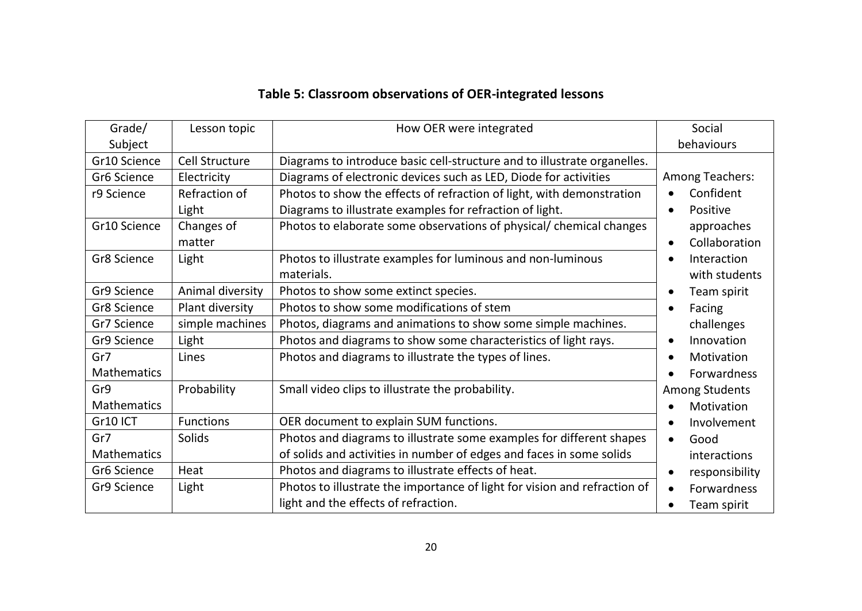| Table 5: Classroom observations of OER-integrated lessons |  |
|-----------------------------------------------------------|--|
|-----------------------------------------------------------|--|

| Grade/             | Lesson topic          | How OER were integrated                                                   | Social                      |
|--------------------|-----------------------|---------------------------------------------------------------------------|-----------------------------|
| Subject            |                       |                                                                           | behaviours                  |
| Gr10 Science       | <b>Cell Structure</b> | Diagrams to introduce basic cell-structure and to illustrate organelles.  |                             |
| Gr6 Science        | Electricity           | Diagrams of electronic devices such as LED, Diode for activities          | Among Teachers:             |
| r9 Science         | Refraction of         | Photos to show the effects of refraction of light, with demonstration     | Confident<br>$\bullet$      |
|                    | Light                 | Diagrams to illustrate examples for refraction of light.                  | Positive<br>$\bullet$       |
| Gr10 Science       | Changes of            | Photos to elaborate some observations of physical/ chemical changes       | approaches                  |
|                    | matter                |                                                                           | Collaboration<br>$\bullet$  |
| Gr8 Science        | Light                 | Photos to illustrate examples for luminous and non-luminous               | Interaction<br>$\bullet$    |
|                    |                       | materials.                                                                | with students               |
| Gr9 Science        | Animal diversity      | Photos to show some extinct species.                                      | Team spirit<br>$\bullet$    |
| Gr8 Science        | Plant diversity       | Photos to show some modifications of stem                                 | Facing<br>$\bullet$         |
| Gr7 Science        | simple machines       | Photos, diagrams and animations to show some simple machines.             | challenges                  |
| Gr9 Science        | Light                 | Photos and diagrams to show some characteristics of light rays.           | Innovation<br>$\bullet$     |
| Gr7                | Lines                 | Photos and diagrams to illustrate the types of lines.                     | Motivation<br>$\bullet$     |
| <b>Mathematics</b> |                       |                                                                           | <b>Forwardness</b>          |
| Gr9                | Probability           | Small video clips to illustrate the probability.                          | Among Students              |
| Mathematics        |                       |                                                                           | Motivation<br>$\bullet$     |
| Gr10 ICT           | <b>Functions</b>      | OER document to explain SUM functions.                                    | Involvement<br>$\bullet$    |
| Gr7                | Solids                | Photos and diagrams to illustrate some examples for different shapes      | Good<br>$\bullet$           |
| Mathematics        |                       | of solids and activities in number of edges and faces in some solids      | interactions                |
| Gr6 Science        | Heat                  | Photos and diagrams to illustrate effects of heat.                        | responsibility<br>$\bullet$ |
| Gr9 Science        | Light                 | Photos to illustrate the importance of light for vision and refraction of | Forwardness<br>$\bullet$    |
|                    |                       | light and the effects of refraction.                                      | Team spirit                 |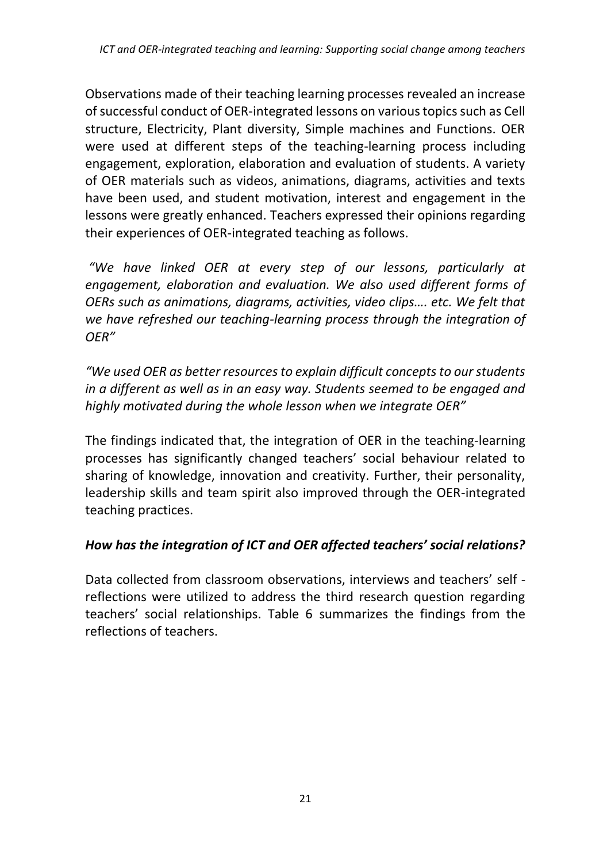Observations made of their teaching learning processes revealed an increase of successful conduct of OER-integrated lessons on various topics such as Cell structure, Electricity, Plant diversity, Simple machines and Functions. OER were used at different steps of the teaching-learning process including engagement, exploration, elaboration and evaluation of students. A variety of OER materials such as videos, animations, diagrams, activities and texts have been used, and student motivation, interest and engagement in the lessons were greatly enhanced. Teachers expressed their opinions regarding their experiences of OER-integrated teaching as follows.

*"We have linked OER at every step of our lessons, particularly at engagement, elaboration and evaluation. We also used different forms of OERs such as animations, diagrams, activities, video clips…. etc. We felt that we have refreshed our teaching-learning process through the integration of OER"*

*"We used OER as better resources to explain difficult concepts to our students in a different as well as in an easy way. Students seemed to be engaged and highly motivated during the whole lesson when we integrate OER"*

The findings indicated that, the integration of OER in the teaching-learning processes has significantly changed teachers' social behaviour related to sharing of knowledge, innovation and creativity. Further, their personality, leadership skills and team spirit also improved through the OER-integrated teaching practices.

#### *How has the integration of ICT and OER affected teachers' social relations?*

Data collected from classroom observations, interviews and teachers' self reflections were utilized to address the third research question regarding teachers' social relationships. Table 6 summarizes the findings from the reflections of teachers.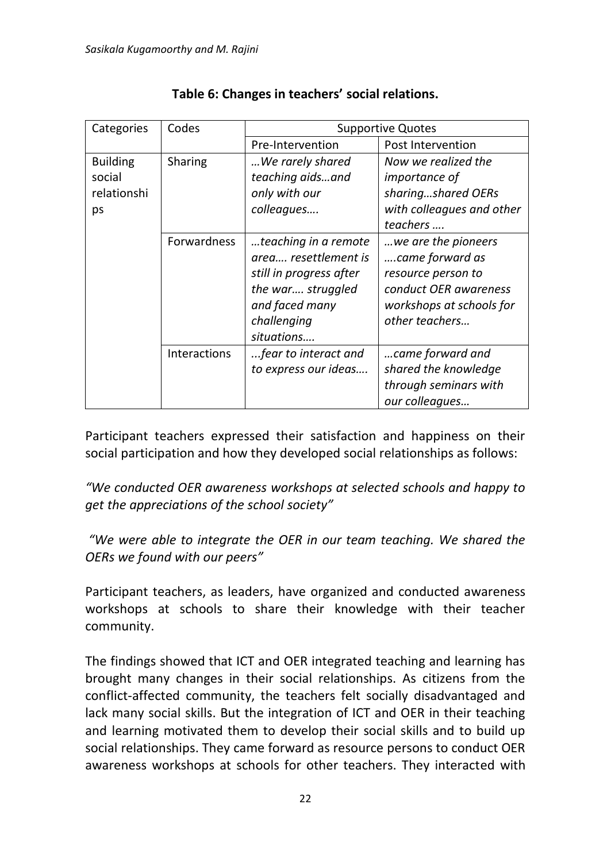| Categories      | Codes              | <b>Supportive Quotes</b> |                           |  |
|-----------------|--------------------|--------------------------|---------------------------|--|
|                 |                    | Pre-Intervention         | Post Intervention         |  |
| <b>Building</b> | Sharing            | We rarely shared         | Now we realized the       |  |
| social          |                    | teaching aidsand         | <i>importance of</i>      |  |
| relationshi     |                    | only with our            | sharingshared OERs        |  |
| ps              |                    | colleagues               | with colleagues and other |  |
|                 |                    |                          | teachers                  |  |
|                 | <b>Forwardness</b> | teaching in a remote     | we are the pioneers       |  |
|                 |                    | area resettlement is     | came forward as           |  |
|                 |                    | still in progress after  | resource person to        |  |
|                 |                    | the war struggled        | conduct OER awareness     |  |
|                 |                    | and faced many           | workshops at schools for  |  |
|                 |                    | challenging              | other teachers            |  |
|                 |                    | situations               |                           |  |
|                 | Interactions       | fear to interact and     | came forward and          |  |
|                 |                    | to express our ideas     | shared the knowledge      |  |
|                 |                    |                          | through seminars with     |  |
|                 |                    |                          | our colleagues            |  |

### **Table 6: Changes in teachers' social relations.**

Participant teachers expressed their satisfaction and happiness on their social participation and how they developed social relationships as follows:

*"We conducted OER awareness workshops at selected schools and happy to get the appreciations of the school society"*

*"We were able to integrate the OER in our team teaching. We shared the OERs we found with our peers"*

Participant teachers, as leaders, have organized and conducted awareness workshops at schools to share their knowledge with their teacher community.

The findings showed that ICT and OER integrated teaching and learning has brought many changes in their social relationships. As citizens from the conflict-affected community, the teachers felt socially disadvantaged and lack many social skills. But the integration of ICT and OER in their teaching and learning motivated them to develop their social skills and to build up social relationships. They came forward as resource persons to conduct OER awareness workshops at schools for other teachers. They interacted with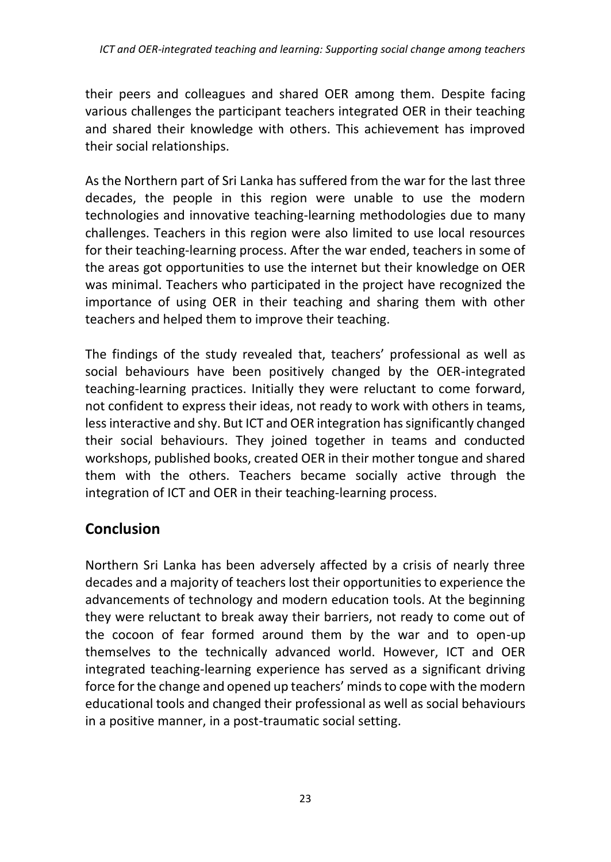their peers and colleagues and shared OER among them. Despite facing various challenges the participant teachers integrated OER in their teaching and shared their knowledge with others. This achievement has improved their social relationships.

As the Northern part of Sri Lanka has suffered from the war for the last three decades, the people in this region were unable to use the modern technologies and innovative teaching-learning methodologies due to many challenges. Teachers in this region were also limited to use local resources for their teaching-learning process. After the war ended, teachers in some of the areas got opportunities to use the internet but their knowledge on OER was minimal. Teachers who participated in the project have recognized the importance of using OER in their teaching and sharing them with other teachers and helped them to improve their teaching.

The findings of the study revealed that, teachers' professional as well as social behaviours have been positively changed by the OER-integrated teaching-learning practices. Initially they were reluctant to come forward, not confident to express their ideas, not ready to work with others in teams, less interactive and shy. But ICT and OER integration has significantly changed their social behaviours. They joined together in teams and conducted workshops, published books, created OER in their mother tongue and shared them with the others. Teachers became socially active through the integration of ICT and OER in their teaching-learning process.

# **Conclusion**

Northern Sri Lanka has been adversely affected by a crisis of nearly three decades and a majority of teachers lost their opportunities to experience the advancements of technology and modern education tools. At the beginning they were reluctant to break away their barriers, not ready to come out of the cocoon of fear formed around them by the war and to open-up themselves to the technically advanced world. However, ICT and OER integrated teaching-learning experience has served as a significant driving force for the change and opened up teachers' minds to cope with the modern educational tools and changed their professional as well as social behaviours in a positive manner, in a post-traumatic social setting.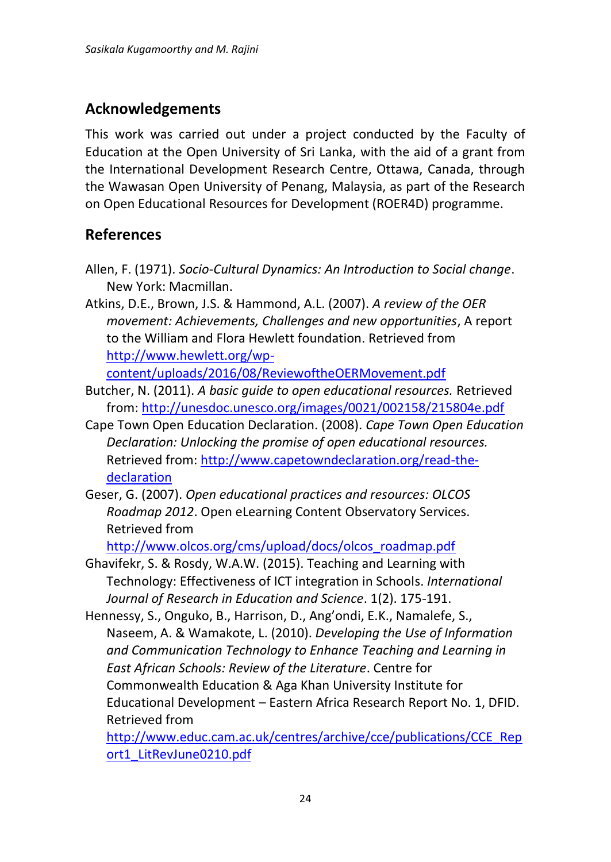## **Acknowledgements**

This work was carried out under a project conducted by the Faculty of Education at the Open University of Sri Lanka, with the aid of a grant from the International Development Research Centre, Ottawa, Canada, through the Wawasan Open University of Penang, Malaysia, as part of the Research on Open Educational Resources for Development (ROER4D) programme.

## **References**

- Allen, F. (1971). *Socio-Cultural Dynamics: An Introduction to Social change*. New York: Macmillan.
- Atkins, D.E., Brown, J.S. & Hammond, A.L. (2007). *A review of the OER movement: Achievements, Challenges and new opportunities*, A report to the William and Flora Hewlett foundation. Retrieved from [http://www.hewlett.org/wp-](http://www.hewlett.org/wp-content/uploads/2016/08/ReviewoftheOERMovement.pdf)

[content/uploads/2016/08/ReviewoftheOERMovement.pdf](http://www.hewlett.org/wp-content/uploads/2016/08/ReviewoftheOERMovement.pdf)

- Butcher, N. (2011). *A basic guide to open educational resources.* Retrieved from: <http://unesdoc.unesco.org/images/0021/002158/215804e.pdf>
- Cape Town Open Education Declaration. (2008). *Cape Town Open Education Declaration: Unlocking the promise of open educational resources.*  Retrieved from: [http://www.capetowndeclaration.org/read-the](http://www.capetowndeclaration.org/read-the-declaration)[declaration](http://www.capetowndeclaration.org/read-the-declaration)
- Geser, G. (2007). *Open educational practices and resources: OLCOS Roadmap 2012*. Open eLearning Content Observatory Services. Retrieved from

[http://www.olcos.org/cms/upload/docs/olcos\\_roadmap.pdf](http://www.olcos.org/cms/upload/docs/olcos_roadmap.pdf)

- Ghavifekr, S. & Rosdy, W.A.W. (2015). Teaching and Learning with Technology: Effectiveness of ICT integration in Schools. *International Journal of Research in Education and Science*. 1(2). 175-191.
- Hennessy, S., Onguko, B., Harrison, D., Ang'ondi, E.K., Namalefe, S., Naseem, A. & Wamakote, L. (2010). *Developing the Use of Information and Communication Technology to Enhance Teaching and Learning in East African Schools: Review of the Literature*. Centre for Commonwealth Education & Aga Khan University Institute for Educational Development – Eastern Africa Research Report No. 1, DFID. Retrieved from

[http://www.educ.cam.ac.uk/centres/archive/cce/publications/CCE\\_Rep](http://www.educ.cam.ac.uk/centres/archive/cce/publications/CCE_Report1_LitRevJune0210.pdf) [ort1\\_LitRevJune0210.pdf](http://www.educ.cam.ac.uk/centres/archive/cce/publications/CCE_Report1_LitRevJune0210.pdf)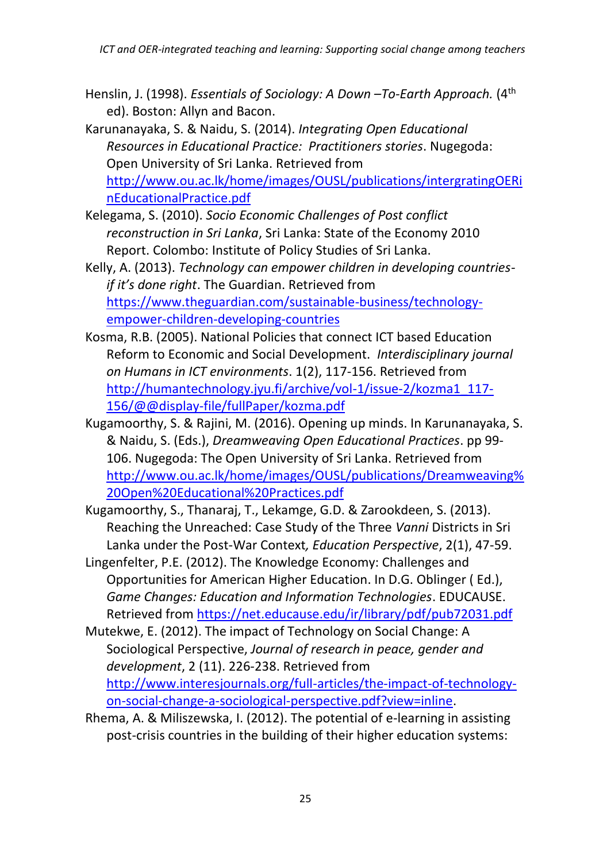- Henslin, J. (1998). *Essentials of Sociology: A Down –To-Earth Approach.* (4th ed). Boston: Allyn and Bacon.
- Karunanayaka, S. & Naidu, S. (2014). *Integrating Open Educational Resources in Educational Practice: Practitioners stories*. Nugegoda: Open University of Sri Lanka. Retrieved from [http://www.ou.ac.lk/home/images/OUSL/publications/intergratingOERi](http://www.ou.ac.lk/home/images/OUSL/publications/intergratingOERinEducationalPractice.pdf) [nEducationalPractice.pdf](http://www.ou.ac.lk/home/images/OUSL/publications/intergratingOERinEducationalPractice.pdf)
- Kelegama, S. (2010). *Socio Economic Challenges of Post conflict reconstruction in Sri Lanka*, Sri Lanka: State of the Economy 2010 Report. Colombo: Institute of Policy Studies of Sri Lanka.
- Kelly, A. (2013). *Technology can empower children in developing countriesif it's done right*. The Guardian. Retrieved from [https://www.theguardian.com/sustainable-business/technology](https://www.theguardian.com/sustainable-business/technology-empower-children-developing-countries)[empower-children-developing-countries](https://www.theguardian.com/sustainable-business/technology-empower-children-developing-countries)
- Kosma, R.B. (2005). National Policies that connect ICT based Education Reform to Economic and Social Development. *Interdisciplinary journal on Humans in ICT environments*. 1(2), 117-156. Retrieved from [http://humantechnology.jyu.fi/archive/vol-1/issue-2/kozma1\\_117-](http://humantechnology.jyu.fi/archive/vol-1/issue-2/kozma1_117-156/@@display-file/fullPaper/kozma.pdf) [156/@@display-file/fullPaper/kozma.pdf](http://humantechnology.jyu.fi/archive/vol-1/issue-2/kozma1_117-156/@@display-file/fullPaper/kozma.pdf)
- Kugamoorthy, S. & Rajini, M. (2016). Opening up minds. In Karunanayaka, S. & Naidu, S. (Eds.), *Dreamweaving Open Educational Practices*. pp 99- 106. Nugegoda: The Open University of Sri Lanka. Retrieved from [http://www.ou.ac.lk/home/images/OUSL/publications/Dreamweaving%](http://www.ou.ac.lk/home/images/OUSL/publications/Dreamweaving%20Open%20Educational%20Practices.pdf) [20Open%20Educational%20Practices.pdf](http://www.ou.ac.lk/home/images/OUSL/publications/Dreamweaving%20Open%20Educational%20Practices.pdf)
- Kugamoorthy, S., Thanaraj, T., Lekamge, G.D. & Zarookdeen, S. (2013). Reaching the Unreached: Case Study of the Three *Vanni* Districts in Sri Lanka under the Post-War Context*, Education Perspective*, 2(1), 47-59.
- Lingenfelter, P.E. (2012). The Knowledge Economy: Challenges and Opportunities for American Higher Education. In D.G. Oblinger ( Ed.), *Game Changes: Education and Information Technologies*. EDUCAUSE. Retrieved from<https://net.educause.edu/ir/library/pdf/pub72031.pdf>
- Mutekwe, E. (2012). The impact of Technology on Social Change: A Sociological Perspective, *Journal of research in peace, gender and development*, 2 (11). 226-238. Retrieved from [http://www.interesjournals.org/full-articles/the-impact-of-technology](http://www.interesjournals.org/full-articles/the-impact-of-technology-on-social-change-a-sociological-perspective.pdf?view=inline)[on-social-change-a-sociological-perspective.pdf?view=inline.](http://www.interesjournals.org/full-articles/the-impact-of-technology-on-social-change-a-sociological-perspective.pdf?view=inline)
- Rhema, A. & Miliszewska, I. (2012). The potential of e-learning in assisting post-crisis countries in the building of their higher education systems: